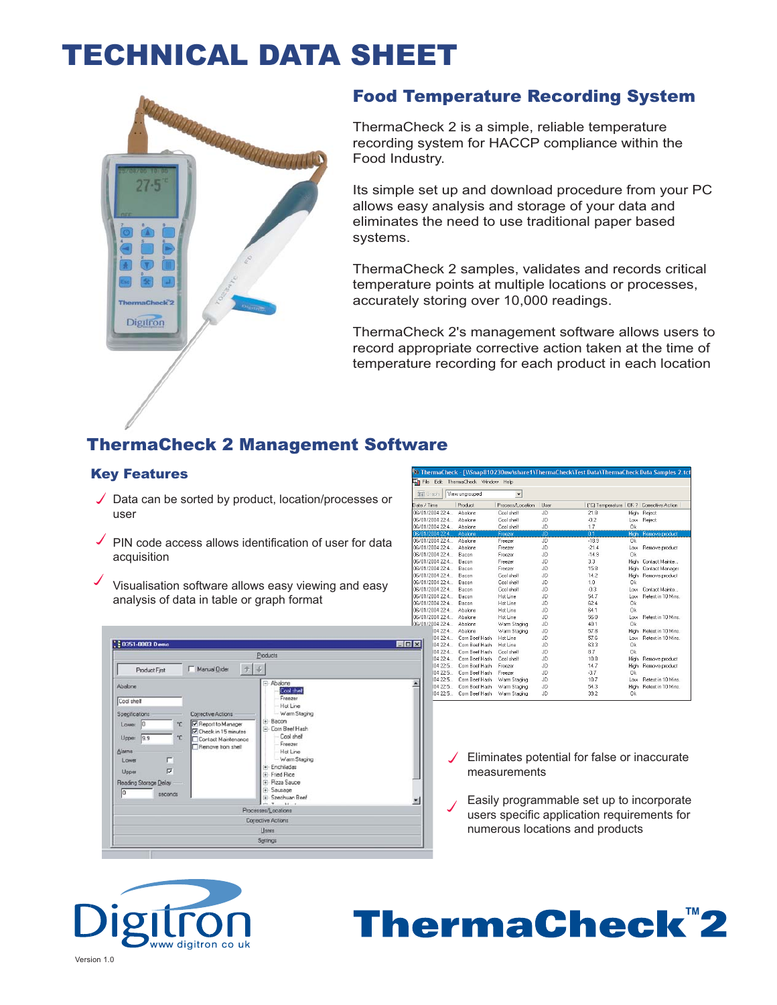## TECHNICAL DATA SHEET



### Food Temperature Recording System

ThermaCheck 2 is a simple, reliable temperature recording system for HACCP compliance within the Food Industry.

Its simple set up and download procedure from your PC allows easy analysis and storage of your data and eliminates the need to use traditional paper based systems.

ThermaCheck 2 samples, validates and records critical temperature points at multiple locations or processes, accurately storing over 10,000 readings.

ThermaCheck 2's management software allows users to record appropriate corrective action taken at the time of temperature recording for each product in each location

## ThermaCheck 2 Management Software

#### Key Features

- $\sqrt{\phantom{a}}$  Data can be sorted by product, location/processes or user
- PIN code access allows identification of user for data acquisition
- Visualisation software allows easy viewing and easy analysis of data in table or graph format

|                                                                                                                                                                                                                                                                                               | Products                                                                                                                                                                                                                                                                |
|-----------------------------------------------------------------------------------------------------------------------------------------------------------------------------------------------------------------------------------------------------------------------------------------------|-------------------------------------------------------------------------------------------------------------------------------------------------------------------------------------------------------------------------------------------------------------------------|
| Manual Drder<br>子<br>Product First                                                                                                                                                                                                                                                            | $\mathcal{L}$                                                                                                                                                                                                                                                           |
| Abalone<br>Cool shell<br>Specifications<br><b>Corrective Actions</b><br>Report to Manager<br>*C<br>Lower 0<br>Check in 15 minutes<br>*C<br>Upper 9.9<br>Contact Maintenance<br>Remove from shelf<br>Alarms<br>г<br>Lowne<br>$\overline{v}$<br>Upper<br>Reading Storage Delay<br>I٥<br>seconds | F-Abalone<br>Cool their<br>Freezer<br>Hot Line<br>Warm Staging<br>$\theta$ Bacon<br>Com Beel Hash<br>Cool shell<br>Freezer<br>Hot Line<br>Warm Staging<br>- Enchiladas<br><b>Ei-Fried Rice</b><br>(4) Pizza Sauce<br><b>El</b> Sausage<br>(+) Szechuan Beef<br>$x = 14$ |
|                                                                                                                                                                                                                                                                                               | Processes/Locations                                                                                                                                                                                                                                                     |
|                                                                                                                                                                                                                                                                                               | Corrective Actions                                                                                                                                                                                                                                                      |
|                                                                                                                                                                                                                                                                                               | Users                                                                                                                                                                                                                                                                   |

|                       |                   |                    |                      |           |                  |           | 34. ThermaCheck - [WSnap810230nw\share1\ThermaCheck\Test Data\ThermaCheck Data Samples 2.tc |
|-----------------------|-------------------|--------------------|----------------------|-----------|------------------|-----------|---------------------------------------------------------------------------------------------|
| E <mark>n</mark> File | Edit              | ThermaCheck Window | Help                 |           |                  |           |                                                                                             |
|                       | <b>Mill</b> Graph | View ungrouped     | $\blacktriangledown$ |           |                  |           |                                                                                             |
|                       | Date / Time       | Product            | Process/Location     | Liser     | I'Cl Temperature |           | OK ? Corrective Action                                                                      |
|                       | 06/01/2004 22:4   | Abalone            | Cool shelf           | JD.       | 21.8             |           | High Reject                                                                                 |
|                       | 06/01/2004 22:4   | Abalone            | Cool shelf           | JD        | $-0.2$           |           | Low Reject                                                                                  |
|                       | 06/01/2004 22:4   | Abalone            | Cool shelf           | JD.       | 1.7              | 0k        |                                                                                             |
|                       | 06/01/2004 22:4   | Abalone            | Freezer              | ÜD        | 01               | High      | Remove product                                                                              |
|                       | 06/01/2004 22:4   | Abalone            | Freezer              | <b>JD</b> | $-18.9$          | 0k        |                                                                                             |
|                       | 06/01/2004 22:4   | Abalone            | Freezer              | JD        | $-21.4$          | Low       | Remove product                                                                              |
|                       | 06/01/2004 22:4   | Bacon              | Freezer              | JD.       | $-14.9$          | 0k        |                                                                                             |
|                       | 06/01/2004 22:4   | Bacon              | Freezer              | JD.       | 3.3              | High      | Contact Mainte                                                                              |
|                       | 06/01/2004 22:4   | Bacon              | Freezer              | JD        | 15.8             | High      | Contact Manager                                                                             |
|                       | 06/01/2004 22:4   | Bacon              | Cool shelf           | JD.       | 14.2             | High      | Remove product                                                                              |
|                       | R6/01/2004 22:4   | Bacon              | Cool shelf           | JD        | 1.0              | <b>nk</b> |                                                                                             |
|                       | 06/01/2004 22:4   | Bacon              | Cool shelf           | JD        | $-0.3$           | Low       | Contact Mainte                                                                              |
|                       | 06/01/2004 22:4   | Bacon              | Hot Line             | JD.       | 54.7             | Low       | Retest in 10 Mins.                                                                          |
|                       | 06/01/2004 22:4   | Bacon              | Hot Line             | JD.       | 62.4             | 0k        |                                                                                             |
|                       | 06/01/2004 22:4   | Abalone            | Hot Line             | JD.       | 64.1             | 0k        |                                                                                             |
|                       | 06/01/2004 22:4   | Abalone            | Hot Line             | JD        | 56.0             | Low       | Retest in 10 Mins.                                                                          |
|                       | 06/01/2004 22:4   | Abalone            | Warm Staging         | JD.       | 40.1             | 0k        |                                                                                             |
|                       | 04 22:4.          | Ahalone            | Warm Staging         | JD        | 57.8             |           | High Retest in 10 Mins.                                                                     |
|                       | 0422:4            | Com Beef Hash      | Hot Line             | JD        | 57.6             | Low       | Retest in 10 Mins.                                                                          |
| ×                     | 04 22:4.          | Corn Beef Hash     | Hot Line             | JD.       | 63.3             | 0k        |                                                                                             |
|                       | 04 22:4           | Com Beef Hash      | Cool shelf           | JD        | 8.7              | 0k        |                                                                                             |
|                       | 04 22:4           | Corn Beef Hash     | Cool shelf           | JD.       | 10.8             | High      | Remove product                                                                              |
|                       | 04 22:5           | Corn Beef Hash     | Freezer              | JD        | 14.7             | High      | Remove product                                                                              |
|                       | 04 22:5           | Corn Beef Hash     | Freezer              | JD        | $-3.7$           | 0k        |                                                                                             |
|                       | 04 22:5           | Corn Reef Hash     | Warm Staging         | JD.       | 10.7             | I nw      | <b>Betest in 10 Mins</b>                                                                    |
|                       | 04 22:5           | Com Beef Hash      | Warm Staging         | JD        | 54.3             |           | High Retest in 10 Mins.                                                                     |
|                       | 04 22:5           | Corn Beef Hash     | Warm Staging         | JD.       | 39.2             | 0k        |                                                                                             |
|                       |                   |                    |                      |           |                  |           |                                                                                             |

- $\angle$  Eliminates potential for false or inaccurate measurements
- Easily programmable set up to incorporate users specific application requirements for numerous locations and products